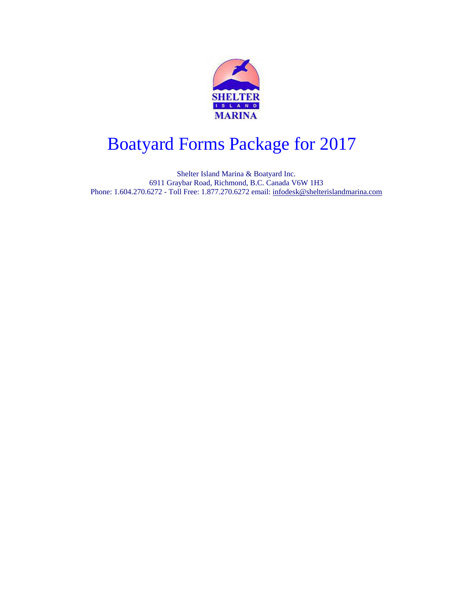

# Boatyard Forms Package for 2013 Boatyard Forms Package for 2017

Shelter Island Marina & Boatyard Inc. 6911 Graybar Road, Richmond, B.C. Canada V6W 1H3 Phone: 1.604.270.6272 - Toll Free: 1.877.270.6272 email: [infodesk@shelterislandmarina.com](mailto:infodesk@shelterislandmarina.com)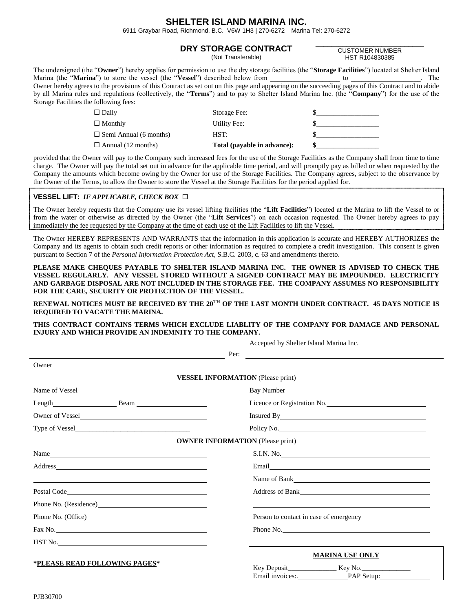### **SHELTER ISLAND MARINA INC.**

6911 Graybar Road, Richmond, B.C. V6W 1H3 | 270-6272 Marina Tel: 270-6272

#### **DRY STORAGE CONTRACT**

(Not Transferable)

\_\_\_\_\_\_\_\_\_\_\_\_\_\_\_\_\_\_\_\_\_\_\_\_\_\_\_\_ CUSTOMER NUMBER HST R104830385

| The undersigned (the " <b>Owner</b> ") hereby applies for permission to use the dry storage facilities (the " <b>Storage Facilities</b> ") located at Shelter Island |       |
|----------------------------------------------------------------------------------------------------------------------------------------------------------------------|-------|
| Marina (the " <b>Marina</b> ") to store the vessel (the " <b>Vessel</b> ") described below from                                                                      | The T |
| Owner hereby agrees to the provisions of this Contract as set out on this page and appearing on the succeeding pages of this Contract and to abide                   |       |
| by all Marina rules and regulations (collectively, the " <b>Terms</b> ") and to pay to Shelter Island Marina Inc. (the " <b>Company</b> ") for the use of the        |       |
| Storage Facilities the following fees:                                                                                                                               |       |
|                                                                                                                                                                      |       |

| $\Box$ Daily<br>$\Box$ Monthly | Storage Fee:<br>Utility Fee: |  |
|--------------------------------|------------------------------|--|
| $\Box$ Semi Annual (6 months)  | HST:                         |  |
|                                |                              |  |
| $\Box$ Annual (12 months)      | Total (payable in advance):  |  |

provided that the Owner will pay to the Company such increased fees for the use of the Storage Facilities as the Company shall from time to time charge. The Owner will pay the total set out in advance for the applicable time period, and will promptly pay as billed or when requested by the Company the amounts which become owing by the Owner for use of the Storage Facilities. The Company agrees, subject to the observance by the Owner of the Terms, to allow the Owner to store the Vessel at the Storage Facilities for the period applied for.

#### **VESSEL LIFT:** *IF APPLICABLE, CHECK BOX*

The Owner hereby requests that the Company use its vessel lifting facilities (the "**Lift Facilities**") located at the Marina to lift the Vessel to or from the water or otherwise as directed by the Owner (the "**Lift Services**") on each occasion requested. The Owner hereby agrees to pay immediately the fee requested by the Company at the time of each use of the Lift Facilities to lift the Vessel.

The Owner HEREBY REPRESENTS AND WARRANTS that the information in this application is accurate and HEREBY AUTHORIZES the Company and its agents to obtain such credit reports or other information as required to complete a credit investigation. This consent is given pursuant to Section 7 of the *Personal Information Protection Act*, S.B.C. 2003, c. 63 and amendments thereto.

**PLEASE MAKE CHEQUES PAYABLE TO SHELTER ISLAND MARINA INC. THE OWNER IS ADVISED TO CHECK THE VESSEL REGULARLY. ANY VESSEL STORED WITHOUT A SIGNED CONTRACT MAY BE IMPOUNDED. ELECTRICITY AND GARBAGE DISPOSAL ARE NOT INCLUDED IN THE STORAGE FEE. THE COMPANY ASSUMES NO RESPONSIBILITY FOR THE CARE, SECURITY OR PROTECTION OF THE VESSEL.**

**RENEWAL NOTICES MUST BE RECEIVED BY THE 20TH OF THE LAST MONTH UNDER CONTRACT. 45 DAYS NOTICE IS REQUIRED TO VACATE THE MARINA.**

#### **THIS CONTRACT CONTAINS TERMS WHICH EXCLUDE LIABLITY OF THE COMPANY FOR DAMAGE AND PERSONAL INJURY AND WHICH PROVIDE AN INDEMNITY TO THE COMPANY.**

Accepted by Shelter Island Marina Inc.

| Owner                                    | Per:                                                                                                            |  |
|------------------------------------------|-----------------------------------------------------------------------------------------------------------------|--|
|                                          |                                                                                                                 |  |
|                                          |                                                                                                                 |  |
| <b>VESSEL INFORMATION</b> (Please print) |                                                                                                                 |  |
| Name of Vessel                           |                                                                                                                 |  |
|                                          | Licence or Registration No.                                                                                     |  |
| Owner of Vessel                          |                                                                                                                 |  |
|                                          | Policy No. 2008 - 2008 - 2010 - 2010 - 2010 - 2010 - 2010 - 2010 - 2010 - 2010 - 2010 - 2010 - 2010 - 2010 - 20 |  |
| <b>OWNER INFORMATION</b> (Please print)  |                                                                                                                 |  |
| Name                                     |                                                                                                                 |  |
|                                          |                                                                                                                 |  |
|                                          |                                                                                                                 |  |
|                                          | Address of Bank                                                                                                 |  |
|                                          |                                                                                                                 |  |
|                                          |                                                                                                                 |  |
|                                          | Phone No.                                                                                                       |  |
| $\operatorname{HST}$ No.                 |                                                                                                                 |  |
|                                          | <b>MARINA USE ONLY</b>                                                                                          |  |
| *PLEASE READ FOLLOWING PAGES*            |                                                                                                                 |  |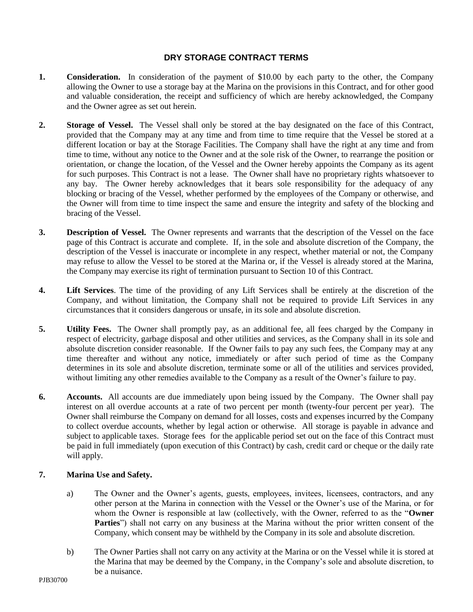#### **DRY STORAGE CONTRACT TERMS**

- **1. Consideration.** In consideration of the payment of \$10.00 by each party to the other, the Company allowing the Owner to use a storage bay at the Marina on the provisions in this Contract, and for other good and valuable consideration, the receipt and sufficiency of which are hereby acknowledged, the Company and the Owner agree as set out herein.
- **2. Storage of Vessel.** The Vessel shall only be stored at the bay designated on the face of this Contract, provided that the Company may at any time and from time to time require that the Vessel be stored at a different location or bay at the Storage Facilities. The Company shall have the right at any time and from time to time, without any notice to the Owner and at the sole risk of the Owner, to rearrange the position or orientation, or change the location, of the Vessel and the Owner hereby appoints the Company as its agent for such purposes. This Contract is not a lease. The Owner shall have no proprietary rights whatsoever to any bay. The Owner hereby acknowledges that it bears sole responsibility for the adequacy of any blocking or bracing of the Vessel, whether performed by the employees of the Company or otherwise, and the Owner will from time to time inspect the same and ensure the integrity and safety of the blocking and bracing of the Vessel.
- **3. Description of Vessel.** The Owner represents and warrants that the description of the Vessel on the face page of this Contract is accurate and complete. If, in the sole and absolute discretion of the Company, the description of the Vessel is inaccurate or incomplete in any respect, whether material or not, the Company may refuse to allow the Vessel to be stored at the Marina or, if the Vessel is already stored at the Marina, the Company may exercise its right of termination pursuant to Section 10 of this Contract.
- **4. Lift Services**. The time of the providing of any Lift Services shall be entirely at the discretion of the Company, and without limitation, the Company shall not be required to provide Lift Services in any circumstances that it considers dangerous or unsafe, in its sole and absolute discretion.
- **5. Utility Fees.** The Owner shall promptly pay, as an additional fee, all fees charged by the Company in respect of electricity, garbage disposal and other utilities and services, as the Company shall in its sole and absolute discretion consider reasonable. If the Owner fails to pay any such fees, the Company may at any time thereafter and without any notice, immediately or after such period of time as the Company determines in its sole and absolute discretion, terminate some or all of the utilities and services provided, without limiting any other remedies available to the Company as a result of the Owner's failure to pay.
- **6. Accounts.** All accounts are due immediately upon being issued by the Company. The Owner shall pay interest on all overdue accounts at a rate of two percent per month (twenty-four percent per year). The Owner shall reimburse the Company on demand for all losses, costs and expenses incurred by the Company to collect overdue accounts, whether by legal action or otherwise. All storage is payable in advance and subject to applicable taxes. Storage fees for the applicable period set out on the face of this Contract must be paid in full immediately (upon execution of this Contract) by cash, credit card or cheque or the daily rate will apply.

#### **7. Marina Use and Safety.**

- a) The Owner and the Owner's agents, guests, employees, invitees, licensees, contractors, and any other person at the Marina in connection with the Vessel or the Owner's use of the Marina, or for whom the Owner is responsible at law (collectively, with the Owner, referred to as the "**Owner**  Parties") shall not carry on any business at the Marina without the prior written consent of the Company, which consent may be withheld by the Company in its sole and absolute discretion.
- b) The Owner Parties shall not carry on any activity at the Marina or on the Vessel while it is stored at the Marina that may be deemed by the Company, in the Company's sole and absolute discretion, to be a nuisance.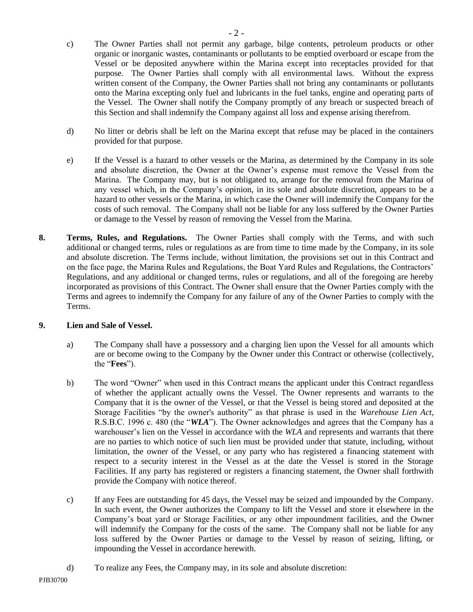- d) No litter or debris shall be left on the Marina except that refuse may be placed in the containers provided for that purpose.
- e) If the Vessel is a hazard to other vessels or the Marina, as determined by the Company in its sole and absolute discretion, the Owner at the Owner's expense must remove the Vessel from the Marina. The Company may, but is not obligated to, arrange for the removal from the Marina of any vessel which, in the Company's opinion, in its sole and absolute discretion, appears to be a hazard to other vessels or the Marina, in which case the Owner will indemnify the Company for the costs of such removal. The Company shall not be liable for any loss suffered by the Owner Parties or damage to the Vessel by reason of removing the Vessel from the Marina.
- **8. Terms, Rules, and Regulations.** The Owner Parties shall comply with the Terms, and with such additional or changed terms, rules or regulations as are from time to time made by the Company, in its sole and absolute discretion. The Terms include, without limitation, the provisions set out in this Contract and on the face page, the Marina Rules and Regulations, the Boat Yard Rules and Regulations, the Contractors' Regulations, and any additional or changed terms, rules or regulations, and all of the foregoing are hereby incorporated as provisions of this Contract. The Owner shall ensure that the Owner Parties comply with the Terms and agrees to indemnify the Company for any failure of any of the Owner Parties to comply with the Terms.

#### **9. Lien and Sale of Vessel.**

- a) The Company shall have a possessory and a charging lien upon the Vessel for all amounts which are or become owing to the Company by the Owner under this Contract or otherwise (collectively, the "**Fees**").
- b) The word "Owner" when used in this Contract means the applicant under this Contract regardless of whether the applicant actually owns the Vessel. The Owner represents and warrants to the Company that it is the owner of the Vessel, or that the Vessel is being stored and deposited at the Storage Facilities "by the owner's authority" as that phrase is used in the *Warehouse Lien Act*, R.S.B.C. 1996 c. 480 (the "*WLA*"). The Owner acknowledges and agrees that the Company has a warehouser's lien on the Vessel in accordance with the *WLA* and represents and warrants that there are no parties to which notice of such lien must be provided under that statute, including, without limitation, the owner of the Vessel, or any party who has registered a financing statement with respect to a security interest in the Vessel as at the date the Vessel is stored in the Storage Facilities. If any party has registered or registers a financing statement, the Owner shall forthwith provide the Company with notice thereof.
- c) If any Fees are outstanding for 45 days, the Vessel may be seized and impounded by the Company. In such event, the Owner authorizes the Company to lift the Vessel and store it elsewhere in the Company's boat yard or Storage Facilities, or any other impoundment facilities, and the Owner will indemnify the Company for the costs of the same. The Company shall not be liable for any loss suffered by the Owner Parties or damage to the Vessel by reason of seizing, lifting, or impounding the Vessel in accordance herewith.
- d) To realize any Fees, the Company may, in its sole and absolute discretion: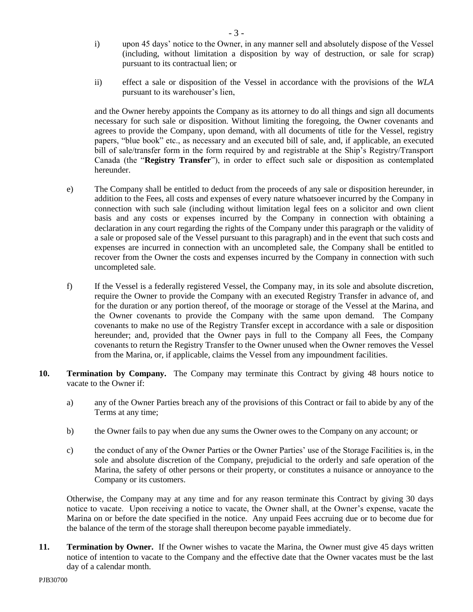i) upon 45 days' notice to the Owner, in any manner sell and absolutely dispose of the Vessel (including, without limitation a disposition by way of destruction, or sale for scrap) pursuant to its contractual lien; or

- 3 -

ii) effect a sale or disposition of the Vessel in accordance with the provisions of the *WLA*  pursuant to its warehouser's lien,

and the Owner hereby appoints the Company as its attorney to do all things and sign all documents necessary for such sale or disposition. Without limiting the foregoing, the Owner covenants and agrees to provide the Company, upon demand, with all documents of title for the Vessel, registry papers, "blue book" etc., as necessary and an executed bill of sale, and, if applicable, an executed bill of sale/transfer form in the form required by and registrable at the Ship's Registry/Transport Canada (the "**Registry Transfer**"), in order to effect such sale or disposition as contemplated hereunder.

- e) The Company shall be entitled to deduct from the proceeds of any sale or disposition hereunder, in addition to the Fees, all costs and expenses of every nature whatsoever incurred by the Company in connection with such sale (including without limitation legal fees on a solicitor and own client basis and any costs or expenses incurred by the Company in connection with obtaining a declaration in any court regarding the rights of the Company under this paragraph or the validity of a sale or proposed sale of the Vessel pursuant to this paragraph) and in the event that such costs and expenses are incurred in connection with an uncompleted sale, the Company shall be entitled to recover from the Owner the costs and expenses incurred by the Company in connection with such uncompleted sale.
- f) If the Vessel is a federally registered Vessel, the Company may, in its sole and absolute discretion, require the Owner to provide the Company with an executed Registry Transfer in advance of, and for the duration or any portion thereof, of the moorage or storage of the Vessel at the Marina, and the Owner covenants to provide the Company with the same upon demand. The Company covenants to make no use of the Registry Transfer except in accordance with a sale or disposition hereunder; and, provided that the Owner pays in full to the Company all Fees, the Company covenants to return the Registry Transfer to the Owner unused when the Owner removes the Vessel from the Marina, or, if applicable, claims the Vessel from any impoundment facilities.
- **10. Termination by Company.** The Company may terminate this Contract by giving 48 hours notice to vacate to the Owner if:
	- a) any of the Owner Parties breach any of the provisions of this Contract or fail to abide by any of the Terms at any time;
	- b) the Owner fails to pay when due any sums the Owner owes to the Company on any account; or
	- c) the conduct of any of the Owner Parties or the Owner Parties' use of the Storage Facilities is, in the sole and absolute discretion of the Company, prejudicial to the orderly and safe operation of the Marina, the safety of other persons or their property, or constitutes a nuisance or annoyance to the Company or its customers.

Otherwise, the Company may at any time and for any reason terminate this Contract by giving 30 days notice to vacate. Upon receiving a notice to vacate, the Owner shall, at the Owner's expense, vacate the Marina on or before the date specified in the notice. Any unpaid Fees accruing due or to become due for the balance of the term of the storage shall thereupon become payable immediately.

**11. Termination by Owner.** If the Owner wishes to vacate the Marina, the Owner must give 45 days written notice of intention to vacate to the Company and the effective date that the Owner vacates must be the last day of a calendar month.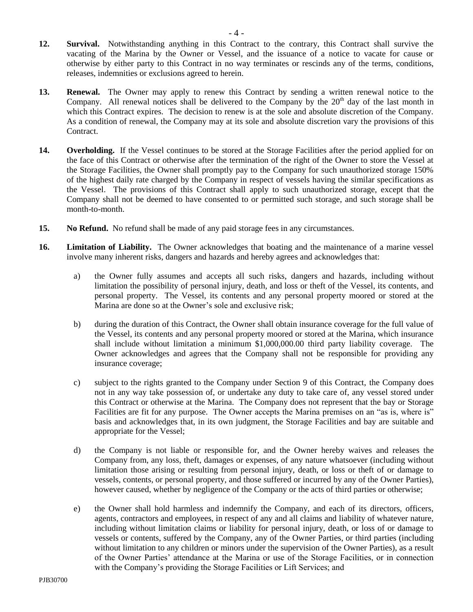- **12. Survival.** Notwithstanding anything in this Contract to the contrary, this Contract shall survive the vacating of the Marina by the Owner or Vessel, and the issuance of a notice to vacate for cause or otherwise by either party to this Contract in no way terminates or rescinds any of the terms, conditions, releases, indemnities or exclusions agreed to herein.
- **13. Renewal.** The Owner may apply to renew this Contract by sending a written renewal notice to the Company. All renewal notices shall be delivered to the Company by the  $20<sup>th</sup>$  day of the last month in which this Contract expires. The decision to renew is at the sole and absolute discretion of the Company. As a condition of renewal, the Company may at its sole and absolute discretion vary the provisions of this Contract.
- **14. Overholding.** If the Vessel continues to be stored at the Storage Facilities after the period applied for on the face of this Contract or otherwise after the termination of the right of the Owner to store the Vessel at the Storage Facilities, the Owner shall promptly pay to the Company for such unauthorized storage 150% of the highest daily rate charged by the Company in respect of vessels having the similar specifications as the Vessel. The provisions of this Contract shall apply to such unauthorized storage, except that the Company shall not be deemed to have consented to or permitted such storage, and such storage shall be month-to-month.
- **15. No Refund.** No refund shall be made of any paid storage fees in any circumstances.
- **16. Limitation of Liability.** The Owner acknowledges that boating and the maintenance of a marine vessel involve many inherent risks, dangers and hazards and hereby agrees and acknowledges that:
	- a) the Owner fully assumes and accepts all such risks, dangers and hazards, including without limitation the possibility of personal injury, death, and loss or theft of the Vessel, its contents, and personal property. The Vessel, its contents and any personal property moored or stored at the Marina are done so at the Owner's sole and exclusive risk;
	- b) during the duration of this Contract, the Owner shall obtain insurance coverage for the full value of the Vessel, its contents and any personal property moored or stored at the Marina, which insurance shall include without limitation a minimum \$1,000,000.00 third party liability coverage. The Owner acknowledges and agrees that the Company shall not be responsible for providing any insurance coverage;
	- c) subject to the rights granted to the Company under Section 9 of this Contract, the Company does not in any way take possession of, or undertake any duty to take care of, any vessel stored under this Contract or otherwise at the Marina. The Company does not represent that the bay or Storage Facilities are fit for any purpose. The Owner accepts the Marina premises on an "as is, where is" basis and acknowledges that, in its own judgment, the Storage Facilities and bay are suitable and appropriate for the Vessel;
	- d) the Company is not liable or responsible for, and the Owner hereby waives and releases the Company from, any loss, theft, damages or expenses, of any nature whatsoever (including without limitation those arising or resulting from personal injury, death, or loss or theft of or damage to vessels, contents, or personal property, and those suffered or incurred by any of the Owner Parties), however caused, whether by negligence of the Company or the acts of third parties or otherwise;
	- e) the Owner shall hold harmless and indemnify the Company, and each of its directors, officers, agents, contractors and employees, in respect of any and all claims and liability of whatever nature, including without limitation claims or liability for personal injury, death, or loss of or damage to vessels or contents, suffered by the Company, any of the Owner Parties, or third parties (including without limitation to any children or minors under the supervision of the Owner Parties), as a result of the Owner Parties' attendance at the Marina or use of the Storage Facilities, or in connection with the Company's providing the Storage Facilities or Lift Services; and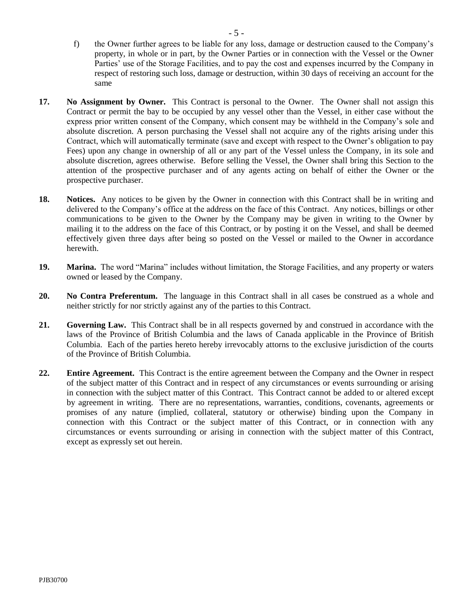- f) the Owner further agrees to be liable for any loss, damage or destruction caused to the Company's property, in whole or in part, by the Owner Parties or in connection with the Vessel or the Owner Parties' use of the Storage Facilities, and to pay the cost and expenses incurred by the Company in respect of restoring such loss, damage or destruction, within 30 days of receiving an account for the same
- **17. No Assignment by Owner.** This Contract is personal to the Owner. The Owner shall not assign this Contract or permit the bay to be occupied by any vessel other than the Vessel, in either case without the express prior written consent of the Company, which consent may be withheld in the Company's sole and absolute discretion. A person purchasing the Vessel shall not acquire any of the rights arising under this Contract, which will automatically terminate (save and except with respect to the Owner's obligation to pay Fees) upon any change in ownership of all or any part of the Vessel unless the Company, in its sole and absolute discretion, agrees otherwise. Before selling the Vessel, the Owner shall bring this Section to the attention of the prospective purchaser and of any agents acting on behalf of either the Owner or the prospective purchaser.
- **18. Notices.** Any notices to be given by the Owner in connection with this Contract shall be in writing and delivered to the Company's office at the address on the face of this Contract. Any notices, billings or other communications to be given to the Owner by the Company may be given in writing to the Owner by mailing it to the address on the face of this Contract, or by posting it on the Vessel, and shall be deemed effectively given three days after being so posted on the Vessel or mailed to the Owner in accordance herewith.
- **19. Marina.** The word "Marina" includes without limitation, the Storage Facilities, and any property or waters owned or leased by the Company.
- **20. No Contra Preferentum.** The language in this Contract shall in all cases be construed as a whole and neither strictly for nor strictly against any of the parties to this Contract.
- **21. Governing Law.** This Contract shall be in all respects governed by and construed in accordance with the laws of the Province of British Columbia and the laws of Canada applicable in the Province of British Columbia. Each of the parties hereto hereby irrevocably attorns to the exclusive jurisdiction of the courts of the Province of British Columbia.
- **22. Entire Agreement.** This Contract is the entire agreement between the Company and the Owner in respect of the subject matter of this Contract and in respect of any circumstances or events surrounding or arising in connection with the subject matter of this Contract. This Contract cannot be added to or altered except by agreement in writing. There are no representations, warranties, conditions, covenants, agreements or promises of any nature (implied, collateral, statutory or otherwise) binding upon the Company in connection with this Contract or the subject matter of this Contract, or in connection with any circumstances or events surrounding or arising in connection with the subject matter of this Contract, except as expressly set out herein.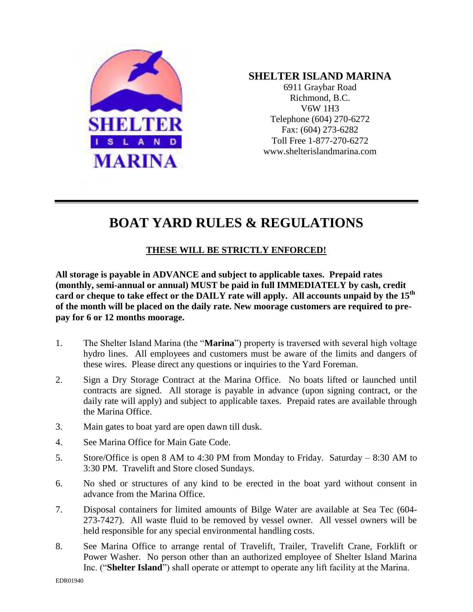

# **SHELTER ISLAND MARINA**

6911 Graybar Road Richmond, B.C. V6W 1H3 Telephone (604) 270-6272 Fax: (604) 273-6282 Toll Free 1-877-270-6272 www.shelterislandmarina.com

# **BOAT YARD RULES & REGULATIONS**

# **THESE WILL BE STRICTLY ENFORCED!**

**All storage is payable in ADVANCE and subject to applicable taxes. Prepaid rates (monthly, semi-annual or annual) MUST be paid in full IMMEDIATELY by cash, credit card or cheque to take effect or the DAILY rate will apply. All accounts unpaid by the 15th of the month will be placed on the daily rate. New moorage customers are required to prepay for 6 or 12 months moorage.**

- 1. The Shelter Island Marina (the "**Marina**") property is traversed with several high voltage hydro lines. All employees and customers must be aware of the limits and dangers of these wires. Please direct any questions or inquiries to the Yard Foreman.
- 2. Sign a Dry Storage Contract at the Marina Office. No boats lifted or launched until contracts are signed. All storage is payable in advance (upon signing contract, or the daily rate will apply) and subject to applicable taxes. Prepaid rates are available through the Marina Office.
- 3. Main gates to boat yard are open dawn till dusk.
- 4. See Marina Office for Main Gate Code.
- 5. Store/Office is open 8 AM to 4:30 PM from Monday to Friday. Saturday 8:30 AM to 3:30 PM. Travelift and Store closed Sundays.
- 6. No shed or structures of any kind to be erected in the boat yard without consent in advance from the Marina Office.
- 7. Disposal containers for limited amounts of Bilge Water are available at Sea Tec (604- 273-7427). All waste fluid to be removed by vessel owner. All vessel owners will be held responsible for any special environmental handling costs.
- 8. See Marina Office to arrange rental of Travelift, Trailer, Travelift Crane, Forklift or Power Washer.No person other than an authorized employee of Shelter Island Marina Inc. ("**Shelter Island**") shall operate or attempt to operate any lift facility at the Marina.